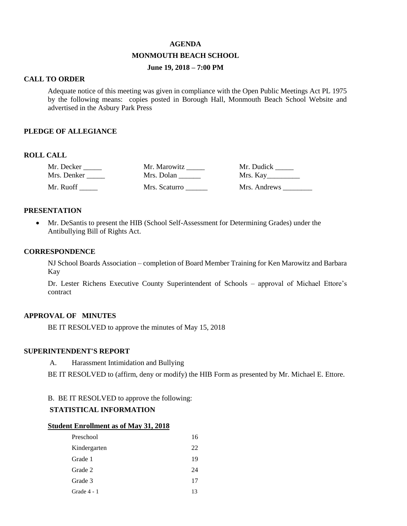### **AGENDA**

### **MONMOUTH BEACH SCHOOL**

# **June 19, 2018 – 7:00 PM**

### **CALL TO ORDER**

Adequate notice of this meeting was given in compliance with the Open Public Meetings Act PL 1975 by the following means: copies posted in Borough Hall, Monmouth Beach School Website and advertised in the Asbury Park Press

### **PLEDGE OF ALLEGIANCE**

## **ROLL CALL**

| Mr. Decker  | Mr. Marowitz  | Mr. Dudick   |
|-------------|---------------|--------------|
| Mrs. Denker | Mrs. Dolan    | Mrs. Kay     |
| Mr. Ruoff   | Mrs. Scaturro | Mrs. Andrews |

### **PRESENTATION**

 Mr. DeSantis to present the HIB (School Self-Assessment for Determining Grades) under the Antibullying Bill of Rights Act.

### **CORRESPONDENCE**

NJ School Boards Association – completion of Board Member Training for Ken Marowitz and Barbara Kay

Dr. Lester Richens Executive County Superintendent of Schools – approval of Michael Ettore's contract

# **APPROVAL OF MINUTES**

BE IT RESOLVED to approve the minutes of May 15, 2018

### **SUPERINTENDENT'S REPORT**

A. Harassment Intimidation and Bullying

BE IT RESOLVED to (affirm, deny or modify) the HIB Form as presented by Mr. Michael E. Ettore.

B. BE IT RESOLVED to approve the following:

# **STATISTICAL INFORMATION**

#### **Student Enrollment as of May 31, 2018**

| Preschool     | 16 |
|---------------|----|
| Kindergarten  | 22 |
| Grade 1       | 19 |
| Grade 2       | 24 |
| Grade 3       | 17 |
| Grade $4 - 1$ | 13 |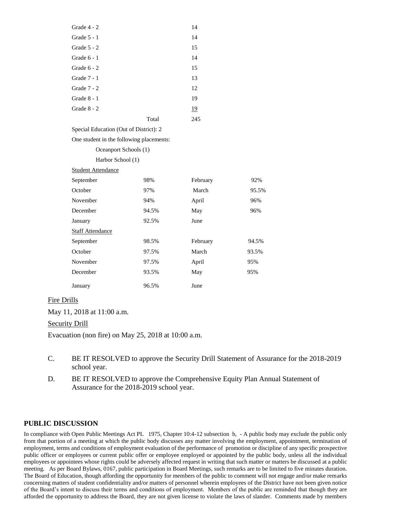| Grade 4 - 2                            |       | 14  |
|----------------------------------------|-------|-----|
| Grade $5 - 1$                          |       | 14  |
| Grade $5 - 2$                          |       | 15  |
| Grade $6 - 1$                          |       | 14  |
| Grade $6 - 2$                          |       | 15  |
| Grade 7 - 1                            |       | 13  |
| Grade 7 - 2                            |       | 12  |
| Grade $8 - 1$                          |       | 19  |
| Grade $8 - 2$                          |       | 19  |
|                                        | Total | 245 |
| Special Education (Out of District): 2 |       |     |

One student in the following placements:

### Oceanport Schools (1)

Harbor School (1)

| <b>Student Attendance</b> |       |          |       |
|---------------------------|-------|----------|-------|
| September                 | 98%   | February | 92%   |
| October                   | 97%   | March    | 95.5% |
| November                  | 94%   | April    | 96%   |
| December                  | 94.5% | May      | 96%   |
| January                   | 92.5% | June     |       |
| <b>Staff Attendance</b>   |       |          |       |
| September                 | 98.5% | February | 94.5% |
| October                   | 97.5% | March    | 93.5% |
| November                  | 97.5% | April    | 95%   |
| December                  | 93.5% | May      | 95%   |
| January                   | 96.5% | June     |       |

### Fire Drills

May 11, 2018 at 11:00 a.m.

### Security Drill

Evacuation (non fire) on May 25, 2018 at 10:00 a.m.

- C. BE IT RESOLVED to approve the Security Drill Statement of Assurance for the 2018-2019 school year.
- D. BE IT RESOLVED to approve the Comprehensive Equity Plan Annual Statement of Assurance for the 2018-2019 school year.

# **PUBLIC DISCUSSION**

In compliance with Open Public Meetings Act PL 1975, Chapter 10:4-12 subsection b, - A public body may exclude the public only from that portion of a meeting at which the public body discusses any matter involving the employment, appointment, termination of employment, terms and conditions of employment evaluation of the performance of promotion or discipline of any specific prospective public officer or employees or current public offer or employee employed or appointed by the public body, unless all the individual employees or appointees whose rights could be adversely affected request in writing that such matter or matters be discussed at a public meeting. As per Board Bylaws, 0167, public participation in Board Meetings, such remarks are to be limited to five minutes duration. The Board of Education, though affording the opportunity for members of the public to comment will not engage and/or make remarks concerning matters of student confidentiality and/or matters of personnel wherein employees of the District have not been given notice of the Board's intent to discuss their terms and conditions of employment. Members of the public are reminded that though they are afforded the opportunity to address the Board, they are not given license to violate the laws of slander. Comments made by members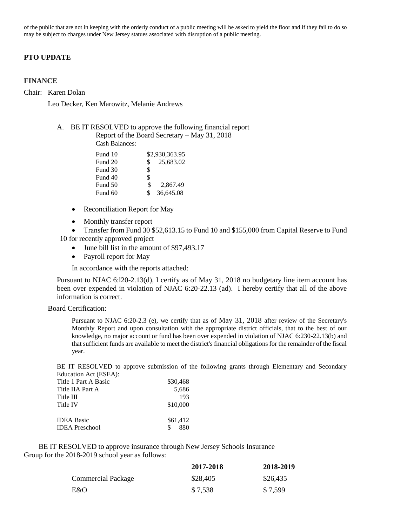of the public that are not in keeping with the orderly conduct of a public meeting will be asked to yield the floor and if they fail to do so may be subject to charges under New Jersey statues associated with disruption of a public meeting.

### **PTO UPDATE**

#### **FINANCE**

Chair: Karen Dolan

Leo Decker, Ken Marowitz, Melanie Andrews

#### A. BE IT RESOLVED to approve the following financial report Report of the Board Secretary – May 31, 2018

Cash Balances:

| Fund 10 |     | \$2,930,363.95 |
|---------|-----|----------------|
| Fund 20 | S.  | 25,683.02      |
| Fund 30 | \$  |                |
| Fund 40 | \$  |                |
| Fund 50 | \$  | 2,867.49       |
| Fund 60 | \$. | 36,645.08      |

- Reconciliation Report for May
- Monthly transfer report
- Transfer from Fund 30 \$52,613.15 to Fund 10 and \$155,000 from Capital Reserve to Fund 10 for recently approved project
	- June bill list in the amount of \$97,493.17
	- Payroll report for May

In accordance with the reports attached:

Pursuant to NJAC 6:l20-2.13(d), I certify as of May 31, 2018 no budgetary line item account has been over expended in violation of NJAC 6:20-22.13 (ad). I hereby certify that all of the above information is correct.

Board Certification:

Pursuant to NJAC 6:20-2.3 (e), we certify that as of May 31, 2018 after review of the Secretary's Monthly Report and upon consultation with the appropriate district officials, that to the best of our knowledge, no major account or fund has been over expended in violation of NJAC 6:230-22.13(b) and that sufficient funds are available to meet the district's financial obligations for the remainder of the fiscal year.

BE IT RESOLVED to approve submission of the following grants through Elementary and Secondary Education Act (ESEA):

| Title 1 Part A Basic | \$30,468  |
|----------------------|-----------|
| Title IIA Part A     | 5,686     |
| Title III            | 193       |
| Title IV             | \$10,000  |
| <b>IDEA Basic</b>    | \$61,412  |
|                      |           |
| IDEA Preschool       | S.<br>880 |
|                      |           |

 BE IT RESOLVED to approve insurance through New Jersey Schools Insurance Group for the 2018-2019 school year as follows:

|                           | 2017-2018 | 2018-2019 |
|---------------------------|-----------|-----------|
| <b>Commercial Package</b> | \$28,405  | \$26,435  |
| E&O                       | \$7,538   | \$7,599   |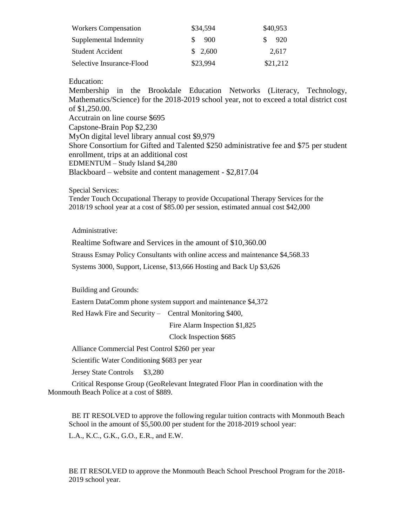| <b>Workers Compensation</b> | \$34,594 | \$40,953   |
|-----------------------------|----------|------------|
| Supplemental Indemnity      | 900      | -920<br>S. |
| <b>Student Accident</b>     | \$2,600  | 2.617      |
| Selective Insurance-Flood   | \$23,994 | \$21,212   |

Education:

Membership in the Brookdale Education Networks (Literacy, Technology, Mathematics/Science) for the 2018-2019 school year, not to exceed a total district cost of \$1,250.00. Accutrain on line course \$695 Capstone-Brain Pop \$2,230 MyOn digital level library annual cost \$9,979 Shore Consortium for Gifted and Talented \$250 administrative fee and \$75 per student enrollment, trips at an additional cost EDMENTUM – Study Island \$4,280 Blackboard – website and content management - \$2,817.04

Special Services:

Tender Touch Occupational Therapy to provide Occupational Therapy Services for the 2018/19 school year at a cost of \$85.00 per session, estimated annual cost \$42,000

Administrative:

Realtime Software and Services in the amount of \$10,360.00

Strauss Esmay Policy Consultants with online access and maintenance \$4,568.33

Systems 3000, Support, License, \$13,666 Hosting and Back Up \$3,626

Building and Grounds:

Eastern DataComm phone system support and maintenance \$4,372

Red Hawk Fire and Security – Central Monitoring \$400,

Fire Alarm Inspection \$1,825

Clock Inspection \$685

Alliance Commercial Pest Control \$260 per year

Scientific Water Conditioning \$683 per year

Jersey State Controls \$3,280

Critical Response Group (GeoRelevant Integrated Floor Plan in coordination with the Monmouth Beach Police at a cost of \$889.

BE IT RESOLVED to approve the following regular tuition contracts with Monmouth Beach School in the amount of  $\overline{$5,500.00}$  per student for the 2018-2019 school year:

L.A., K.C., G.K., G.O., E.R., and E.W.

BE IT RESOLVED to approve the Monmouth Beach School Preschool Program for the 2018- 2019 school year.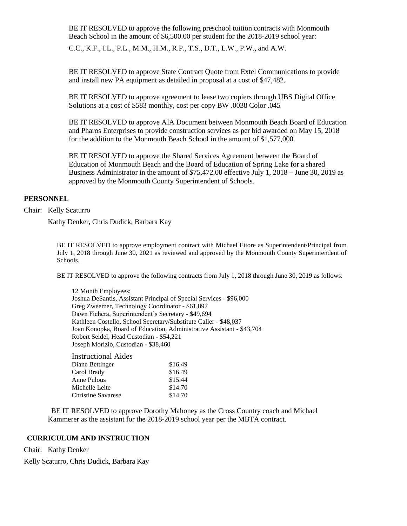BE IT RESOLVED to approve the following preschool tuition contracts with Monmouth Beach School in the amount of \$6,500.00 per student for the 2018-2019 school year:

C.C., K.F., I.L., P.L., M.M., H.M., R.P., T.S., D.T., L.W., P.W., and A.W.

BE IT RESOLVED to approve State Contract Quote from Extel Communications to provide and install new PA equipment as detailed in proposal at a cost of \$47,482.

BE IT RESOLVED to approve agreement to lease two copiers through UBS Digital Office Solutions at a cost of \$583 monthly, cost per copy BW .0038 Color .045

BE IT RESOLVED to approve AIA Document between Monmouth Beach Board of Education and Pharos Enterprises to provide construction services as per bid awarded on May 15, 2018 for the addition to the Monmouth Beach School in the amount of \$1,577,000.

BE IT RESOLVED to approve the Shared Services Agreement between the Board of Education of Monmouth Beach and the Board of Education of Spring Lake for a shared Business Administrator in the amount of \$75,472.00 effective July 1, 2018 – June 30, 2019 as approved by the Monmouth County Superintendent of Schools.

### **PERSONNEL**

Chair: Kelly Scaturro

Kathy Denker, Chris Dudick, Barbara Kay

BE IT RESOLVED to approve employment contract with Michael Ettore as Superintendent/Principal from July 1, 2018 through June 30, 2021 as reviewed and approved by the Monmouth County Superintendent of Schools.

BE IT RESOLVED to approve the following contracts from July 1, 2018 through June 30, 2019 as follows:

12 Month Employees: Joshua DeSantis, Assistant Principal of Special Services - \$96,000 Greg Zweemer, Technology Coordinator - \$61,897 Dawn Fichera, Superintendent's Secretary - \$49,694 Kathleen Costello, School Secretary/Substitute Caller - \$48,037 Joan Konopka, Board of Education, Administrative Assistant - \$43,704 Robert Seidel, Head Custodian - \$54,221 Joseph Morizio, Custodian - \$38,460

Instructional Aides Diane Bettinger \$16.49 Carol Brady \$16.49 Anne Pulous \$15.44 Michelle Leite \$14.70 Christine Savarese \$14.70

 BE IT RESOLVED to approve Dorothy Mahoney as the Cross Country coach and Michael Kammerer as the assistant for the 2018-2019 school year per the MBTA contract.

# **CURRICULUM AND INSTRUCTION**

Chair: Kathy Denker

Kelly Scaturro, Chris Dudick, Barbara Kay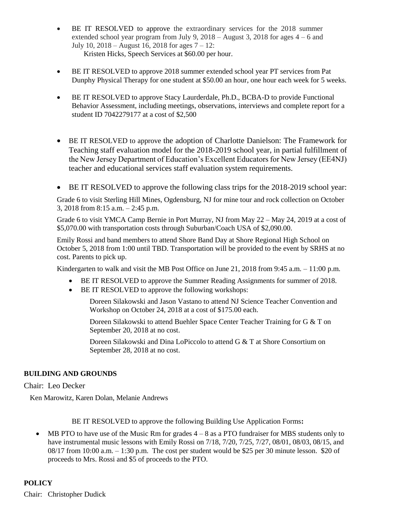- BE IT RESOLVED to approve the extraordinary services for the 2018 summer extended school year program from July 9,  $2018 -$ August 3,  $2018$  for ages  $4 - 6$  and July 10, 2018 – August 16, 2018 for ages  $7 - 12$ : Kristen Hicks, Speech Services at \$60.00 per hour.
- BE IT RESOLVED to approve 2018 summer extended school year PT services from Pat Dunphy Physical Therapy for one student at \$50.00 an hour, one hour each week for 5 weeks.
- BE IT RESOLVED to approve Stacy Laurderdale, Ph.D., BCBA-D to provide Functional Behavior Assessment, including meetings, observations, interviews and complete report for a student ID 7042279177 at a cost of \$2,500
- BE IT RESOLVED to approve the adoption of Charlotte Danielson: The Framework for Teaching staff evaluation model for the 2018-2019 school year, in partial fulfillment of the New Jersey Department of Education's Excellent Educators for New Jersey (EE4NJ) teacher and educational services staff evaluation system requirements.
- BE IT RESOLVED to approve the following class trips for the 2018-2019 school year:

Grade 6 to visit Sterling Hill Mines, Ogdensburg, NJ for mine tour and rock collection on October 3, 2018 from 8:15 a.m. – 2:45 p.m.

Grade 6 to visit YMCA Camp Bernie in Port Murray, NJ from May 22 – May 24, 2019 at a cost of \$5,070.00 with transportation costs through Suburban/Coach USA of \$2,090.00.

Emily Rossi and band members to attend Shore Band Day at Shore Regional High School on October 5, 2018 from 1:00 until TBD. Transportation will be provided to the event by SRHS at no cost. Parents to pick up.

Kindergarten to walk and visit the MB Post Office on June 21, 2018 from 9:45 a.m.  $-11:00$  p.m.

- BE IT RESOLVED to approve the Summer Reading Assignments for summer of 2018.
- BE IT RESOLVED to approve the following workshops:

Doreen Silakowski and Jason Vastano to attend NJ Science Teacher Convention and Workshop on October 24, 2018 at a cost of \$175.00 each.

Doreen Silakowski to attend Buehler Space Center Teacher Training for G & T on September 20, 2018 at no cost.

Doreen Silakowski and Dina LoPiccolo to attend G & T at Shore Consortium on September 28, 2018 at no cost.

# **BUILDING AND GROUNDS**

Chair: Leo Decker

Ken Marowitz, Karen Dolan, Melanie Andrews

BE IT RESOLVED to approve the following Building Use Application Forms**:** 

MB PTO to have use of the Music Rm for grades  $4 - 8$  as a PTO fundraiser for MBS students only to have instrumental music lessons with Emily Rossi on 7/18, 7/20, 7/25, 7/27, 08/01, 08/03, 08/15, and  $08/17$  from  $10:00$  a.m.  $-1:30$  p.m. The cost per student would be \$25 per 30 minute lesson. \$20 of proceeds to Mrs. Rossi and \$5 of proceeds to the PTO.

# **POLICY**

Chair: Christopher Dudick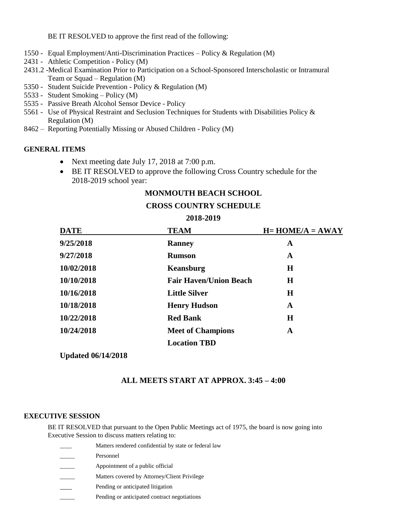BE IT RESOLVED to approve the first read of the following:

- 1550 Equal Employment/Anti-Discrimination Practices Policy & Regulation (M)
- 2431 Athletic Competition Policy (M)
- 2431.2 -Medical Examination Prior to Participation on a School-Sponsored Interscholastic or Intramural Team or Squad – Regulation (M)
- 5350 Student Suicide Prevention Policy & Regulation (M)
- 5533 Student Smoking Policy (M)
- 5535 Passive Breath Alcohol Sensor Device Policy
- 5561 Use of Physical Restraint and Seclusion Techniques for Students with Disabilities Policy & Regulation (M)
- 8462 Reporting Potentially Missing or Abused Children Policy (M)

# **GENERAL ITEMS**

- Next meeting date July 17, 2018 at 7:00 p.m.
- BE IT RESOLVED to approve the following Cross Country schedule for the 2018-2019 school year:

# **MONMOUTH BEACH SCHOOL**

### **CROSS COUNTRY SCHEDULE**

### **2018-2019**

| <b>DATE</b> | <b>TEAM</b>                   | $H=HOME/A = AWAY$ |
|-------------|-------------------------------|-------------------|
| 9/25/2018   | <b>Ranney</b>                 | A                 |
| 9/27/2018   | <b>Rumson</b>                 | A                 |
| 10/02/2018  | Keansburg                     | $\bf H$           |
| 10/10/2018  | <b>Fair Haven/Union Beach</b> | $\bf H$           |
| 10/16/2018  | <b>Little Silver</b>          | $\bf H$           |
| 10/18/2018  | <b>Henry Hudson</b>           | A                 |
| 10/22/2018  | <b>Red Bank</b>               | H                 |
| 10/24/2018  | <b>Meet of Champions</b>      | A                 |
|             | <b>Location TBD</b>           |                   |

**Updated 06/14/2018**

# **ALL MEETS START AT APPROX. 3:45 – 4:00**

# **EXECUTIVE SESSION**

BE IT RESOLVED that pursuant to the Open Public Meetings act of 1975, the board is now going into Executive Session to discuss matters relating to:

- Matters rendered confidential by state or federal law
- Personnel
- Appointment of a public official
- Matters covered by Attorney/Client Privilege
- Pending or anticipated litigation
- Pending or anticipated contract negotiations